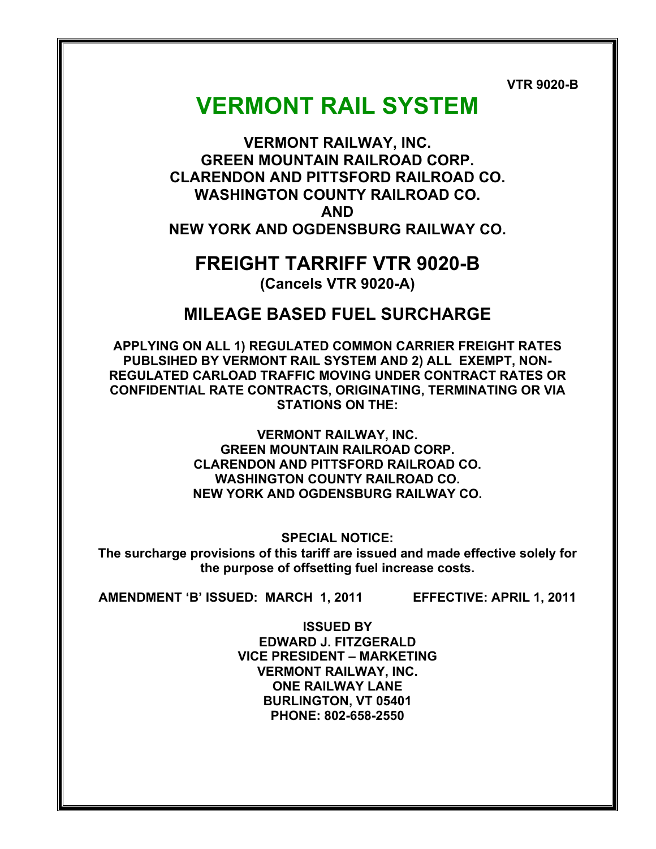**VTR 9020-B**

# **VERMONT RAIL SYSTEM**

**VERMONT RAILWAY, INC. GREEN MOUNTAIN RAILROAD CORP. CLARENDON AND PITTSFORD RAILROAD CO. WASHINGTON COUNTY RAILROAD CO. AND NEW YORK AND OGDENSBURG RAILWAY CO.**

## **FREIGHT TARRIFF VTR 9020-B (Cancels VTR 9020-A)**

## **MILEAGE BASED FUEL SURCHARGE**

**APPLYING ON ALL 1) REGULATED COMMON CARRIER FREIGHT RATES PUBLSIHED BY VERMONT RAIL SYSTEM AND 2) ALL EXEMPT, NON-REGULATED CARLOAD TRAFFIC MOVING UNDER CONTRACT RATES OR CONFIDENTIAL RATE CONTRACTS, ORIGINATING, TERMINATING OR VIA STATIONS ON THE:**

> **VERMONT RAILWAY, INC. GREEN MOUNTAIN RAILROAD CORP. CLARENDON AND PITTSFORD RAILROAD CO. WASHINGTON COUNTY RAILROAD CO. NEW YORK AND OGDENSBURG RAILWAY CO.**

**SPECIAL NOTICE: The surcharge provisions of this tariff are issued and made effective solely for the purpose of offsetting fuel increase costs.**

**AMENDMENT 'B' ISSUED: MARCH 1, 2011 EFFECTIVE: APRIL 1, 2011**

**ISSUED BY EDWARD J. FITZGERALD VICE PRESIDENT – MARKETING VERMONT RAILWAY, INC. ONE RAILWAY LANE BURLINGTON, VT 05401 PHONE: 802-658-2550**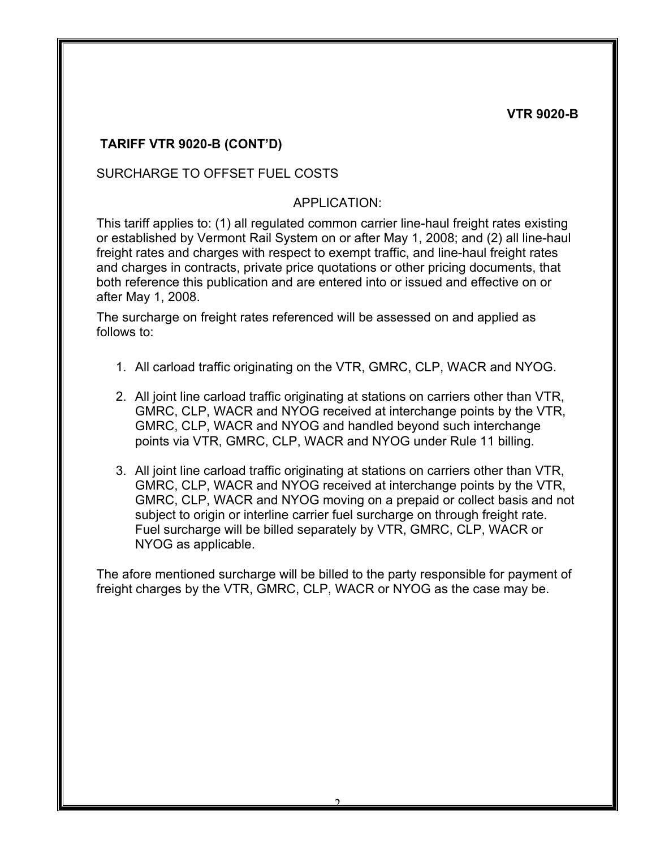### **TARIFF VTR 9020-B (CONT'D)**

#### SURCHARGE TO OFFSET FUEL COSTS

#### APPLICATION:

This tariff applies to: (1) all regulated common carrier line-haul freight rates existing or established by Vermont Rail System on or after May 1, 2008; and (2) all line-haul freight rates and charges with respect to exempt traffic, and line-haul freight rates and charges in contracts, private price quotations or other pricing documents, that both reference this publication and are entered into or issued and effective on or after May 1, 2008.

The surcharge on freight rates referenced will be assessed on and applied as follows to:

- 1. All carload traffic originating on the VTR, GMRC, CLP, WACR and NYOG.
- 2. All joint line carload traffic originating at stations on carriers other than VTR, GMRC, CLP, WACR and NYOG received at interchange points by the VTR, GMRC, CLP, WACR and NYOG and handled beyond such interchange points via VTR, GMRC, CLP, WACR and NYOG under Rule 11 billing.
- 3. All joint line carload traffic originating at stations on carriers other than VTR, GMRC, CLP, WACR and NYOG received at interchange points by the VTR, GMRC, CLP, WACR and NYOG moving on a prepaid or collect basis and not subject to origin or interline carrier fuel surcharge on through freight rate. Fuel surcharge will be billed separately by VTR, GMRC, CLP, WACR or NYOG as applicable.

The afore mentioned surcharge will be billed to the party responsible for payment of freight charges by the VTR, GMRC, CLP, WACR or NYOG as the case may be.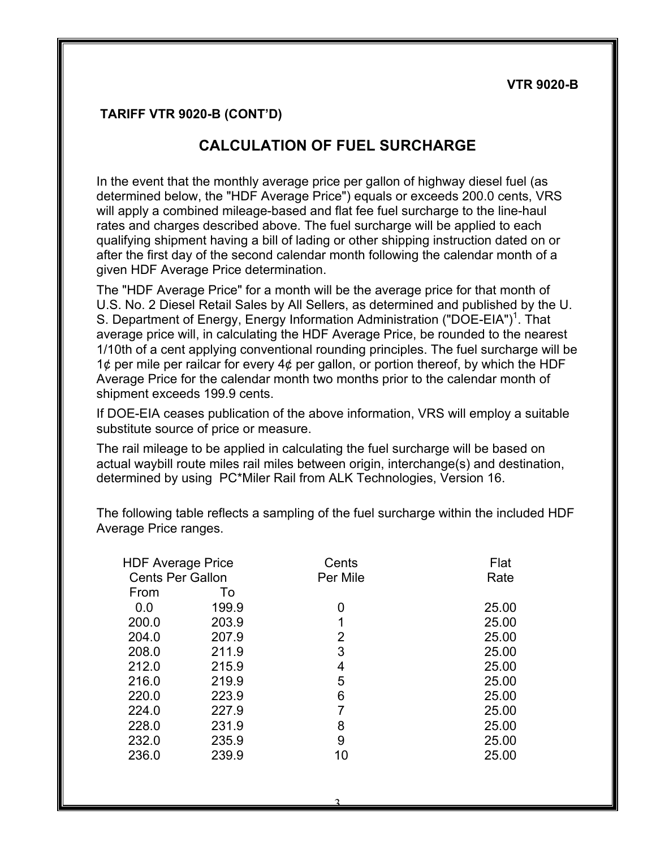#### **TARIFF VTR 9020-B (CONT'D)**

## **CALCULATION OF FUEL SURCHARGE**

In the event that the monthly average price per gallon of highway diesel fuel (as determined below, the "HDF Average Price") equals or exceeds 200.0 cents, VRS will apply a combined mileage-based and flat fee fuel surcharge to the line-haul rates and charges described above. The fuel surcharge will be applied to each qualifying shipment having a bill of lading or other shipping instruction dated on or after the first day of the second calendar month following the calendar month of a given HDF Average Price determination.

The "HDF Average Price" for a month will be the average price for that month of U.S. No. 2 Diesel Retail Sales by All Sellers, as determined and published by the U. S. Department of Energy, Energy Information Administration ("DOE-EIA")<sup>1</sup>. That average price will, in calculating the HDF Average Price, be rounded to the nearest 1/10th of a cent applying conventional rounding principles. The fuel surcharge will be 1 $\phi$  per mile per railcar for every 4 $\phi$  per gallon, or portion thereof, by which the HDF Average Price for the calendar month two months prior to the calendar month of shipment exceeds 199.9 cents.

If DOE-EIA ceases publication of the above information, VRS will employ a suitable substitute source of price or measure.

The rail mileage to be applied in calculating the fuel surcharge will be based on actual waybill route miles rail miles between origin, interchange(s) and destination, determined by using PC\*Miler Rail from ALK Technologies, Version 16.

The following table reflects a sampling of the fuel surcharge within the included HDF Average Price ranges.

| <b>HDF Average Price</b> |       | Cents    | Flat  |
|--------------------------|-------|----------|-------|
| <b>Cents Per Gallon</b>  |       | Per Mile | Rate  |
| From                     | To    |          |       |
| 0.0                      | 199.9 | 0        | 25.00 |
| 200.0                    | 203.9 | 1        | 25.00 |
| 204.0                    | 207.9 | 2        | 25.00 |
| 208.0                    | 211.9 | 3        | 25.00 |
| 212.0                    | 215.9 | 4        | 25.00 |
| 216.0                    | 219.9 | 5        | 25.00 |
| 220.0                    | 223.9 | 6        | 25.00 |
| 224.0                    | 227.9 | 7        | 25.00 |
| 228.0                    | 231.9 | 8        | 25.00 |
| 232.0                    | 235.9 | 9        | 25.00 |
| 236.0                    | 239.9 | 10       | 25.00 |